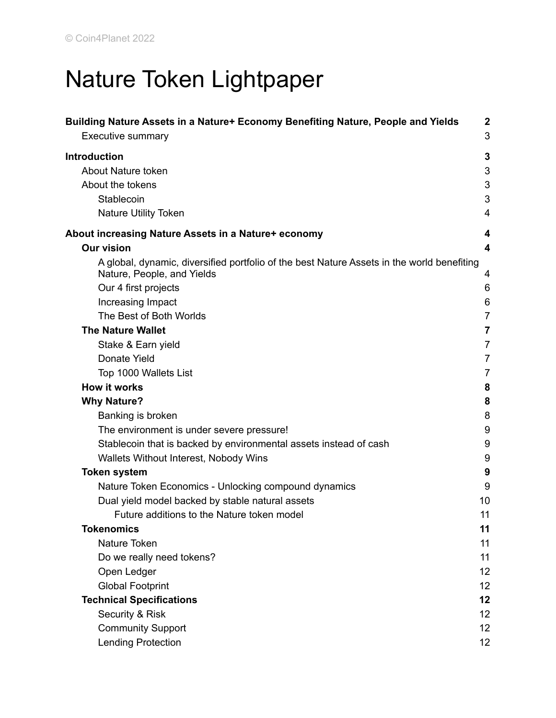# Nature Token Lightpaper

| Building Nature Assets in a Nature+ Economy Benefiting Nature, People and Yields<br><b>Executive summary</b>             | $\boldsymbol{2}$<br>3 |
|--------------------------------------------------------------------------------------------------------------------------|-----------------------|
| <b>Introduction</b>                                                                                                      | 3                     |
| About Nature token                                                                                                       | 3                     |
| About the tokens                                                                                                         | 3                     |
| Stablecoin                                                                                                               | 3                     |
| <b>Nature Utility Token</b>                                                                                              | $\overline{4}$        |
| About increasing Nature Assets in a Nature+ economy                                                                      | 4                     |
| <b>Our vision</b>                                                                                                        | 4                     |
| A global, dynamic, diversified portfolio of the best Nature Assets in the world benefiting<br>Nature, People, and Yields | 4                     |
| Our 4 first projects                                                                                                     | 6                     |
| Increasing Impact                                                                                                        | 6                     |
| The Best of Both Worlds                                                                                                  | $\overline{7}$        |
| <b>The Nature Wallet</b>                                                                                                 | $\overline{7}$        |
| Stake & Earn yield                                                                                                       | 7                     |
| Donate Yield                                                                                                             | 7                     |
| Top 1000 Wallets List                                                                                                    | $\overline{7}$        |
| <b>How it works</b>                                                                                                      | 8                     |
| <b>Why Nature?</b>                                                                                                       | 8                     |
| Banking is broken                                                                                                        | 8                     |
| The environment is under severe pressure!                                                                                | 9                     |
| Stablecoin that is backed by environmental assets instead of cash                                                        | 9                     |
| Wallets Without Interest, Nobody Wins                                                                                    | 9                     |
| <b>Token system</b>                                                                                                      | 9                     |
| Nature Token Economics - Unlocking compound dynamics                                                                     | 9                     |
| Dual yield model backed by stable natural assets                                                                         | 10                    |
| Future additions to the Nature token model                                                                               | 11                    |
| <b>Tokenomics</b>                                                                                                        | 11                    |
| Nature Token                                                                                                             | 11                    |
| Do we really need tokens?                                                                                                | 11                    |
| Open Ledger                                                                                                              | 12                    |
| <b>Global Footprint</b>                                                                                                  | 12                    |
| <b>Technical Specifications</b>                                                                                          | 12                    |
| Security & Risk                                                                                                          | 12                    |
| <b>Community Support</b>                                                                                                 | 12                    |
| <b>Lending Protection</b>                                                                                                | 12                    |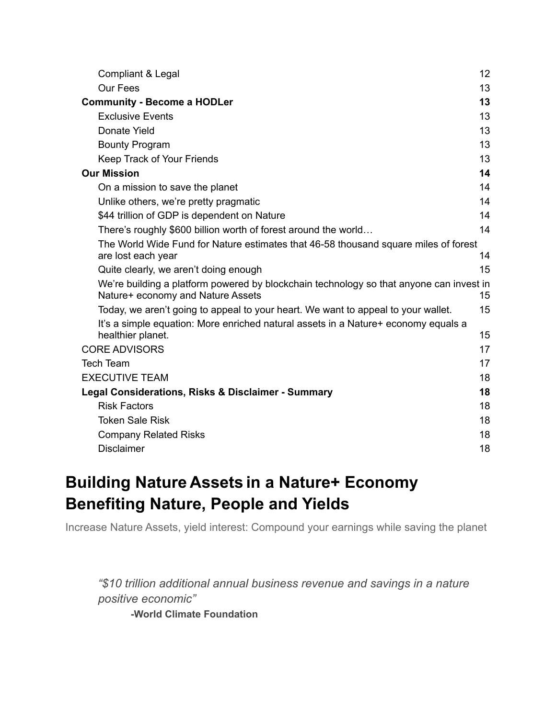| Compliant & Legal                                                                                                            | 12 |
|------------------------------------------------------------------------------------------------------------------------------|----|
| Our Fees                                                                                                                     | 13 |
| <b>Community - Become a HODLer</b>                                                                                           | 13 |
| <b>Exclusive Events</b>                                                                                                      | 13 |
| Donate Yield                                                                                                                 | 13 |
| <b>Bounty Program</b>                                                                                                        | 13 |
| Keep Track of Your Friends                                                                                                   | 13 |
| <b>Our Mission</b>                                                                                                           | 14 |
| On a mission to save the planet                                                                                              | 14 |
| Unlike others, we're pretty pragmatic                                                                                        | 14 |
| \$44 trillion of GDP is dependent on Nature                                                                                  | 14 |
| There's roughly \$600 billion worth of forest around the world                                                               | 14 |
| The World Wide Fund for Nature estimates that 46-58 thousand square miles of forest                                          |    |
| are lost each year                                                                                                           | 14 |
| Quite clearly, we aren't doing enough                                                                                        | 15 |
| We're building a platform powered by blockchain technology so that anyone can invest in<br>Nature+ economy and Nature Assets | 15 |
| Today, we aren't going to appeal to your heart. We want to appeal to your wallet.                                            | 15 |
| It's a simple equation: More enriched natural assets in a Nature+ economy equals a                                           |    |
| healthier planet.                                                                                                            | 15 |
| <b>CORE ADVISORS</b>                                                                                                         | 17 |
| <b>Tech Team</b>                                                                                                             | 17 |
| <b>EXECUTIVE TEAM</b>                                                                                                        | 18 |
| Legal Considerations, Risks & Disclaimer - Summary                                                                           | 18 |
| <b>Risk Factors</b>                                                                                                          | 18 |
| <b>Token Sale Risk</b>                                                                                                       | 18 |
| <b>Company Related Risks</b>                                                                                                 | 18 |
| <b>Disclaimer</b>                                                                                                            | 18 |

# <span id="page-1-0"></span>**Building Nature Assets in a Nature+ Economy Benefiting Nature, People and Yields**

Increase Nature Assets, yield interest: Compound your earnings while saving the planet

*"\$10 trillion additional annual business revenue and savings in a nature positive economic"* **-World Climate Foundation**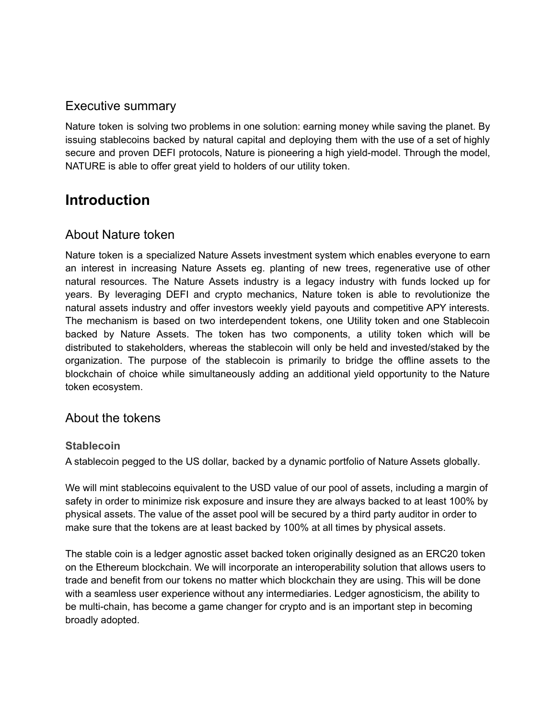# <span id="page-2-0"></span>Executive summary

Nature token is solving two problems in one solution: earning money while saving the planet. By issuing stablecoins backed by natural capital and deploying them with the use of a set of highly secure and proven DEFI protocols, Nature is pioneering a high yield-model. Through the model, NATURE is able to offer great yield to holders of our utility token.

# <span id="page-2-1"></span>**Introduction**

# <span id="page-2-2"></span>About Nature token

Nature token is a specialized Nature Assets investment system which enables everyone to earn an interest in increasing Nature Assets eg. planting of new trees, regenerative use of other natural resources. The Nature Assets industry is a legacy industry with funds locked up for years. By leveraging DEFI and crypto mechanics, Nature token is able to revolutionize the natural assets industry and offer investors weekly yield payouts and competitive APY interests. The mechanism is based on two interdependent tokens, one Utility token and one Stablecoin backed by Nature Assets. The token has two components, a utility token which will be distributed to stakeholders, whereas the stablecoin will only be held and invested/staked by the organization. The purpose of the stablecoin is primarily to bridge the offline assets to the blockchain of choice while simultaneously adding an additional yield opportunity to the Nature token ecosystem.

# <span id="page-2-3"></span>About the tokens

#### <span id="page-2-4"></span>**Stablecoin**

A stablecoin pegged to the US dollar, backed by a dynamic portfolio of Nature Assets globally.

We will mint stablecoins equivalent to the USD value of our pool of assets, including a margin of safety in order to minimize risk exposure and insure they are always backed to at least 100% by physical assets. The value of the asset pool will be secured by a third party auditor in order to make sure that the tokens are at least backed by 100% at all times by physical assets.

The stable coin is a ledger agnostic asset backed token originally designed as an ERC20 token on the Ethereum blockchain. We will incorporate an interoperability solution that allows users to trade and benefit from our tokens no matter which blockchain they are using. This will be done with a seamless user experience without any intermediaries. Ledger agnosticism, the ability to be multi-chain, has become a game changer for crypto and is an important step in becoming broadly adopted.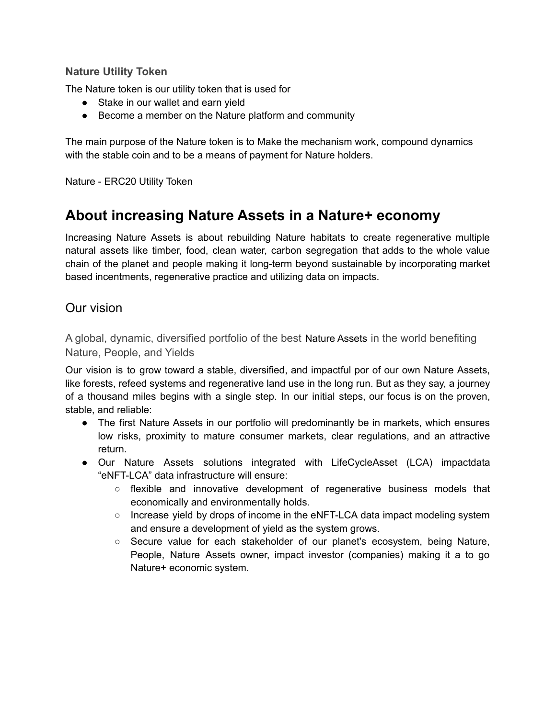#### <span id="page-3-0"></span>**Nature Utility Token**

The Nature token is our utility token that is used for

- Stake in our wallet and earn yield
- Become a member on the Nature platform and community

The main purpose of the Nature token is to Make the mechanism work, compound dynamics with the stable coin and to be a means of payment for Nature holders.

<span id="page-3-1"></span>Nature - ERC20 Utility Token

# **About increasing Nature Assets in a Nature+ economy**

Increasing Nature Assets is about rebuilding Nature habitats to create regenerative multiple natural assets like timber, food, clean water, carbon segregation that adds to the whole value chain of the planet and people making it long-term beyond sustainable by incorporating market based incentments, regenerative practice and utilizing data on impacts.

# <span id="page-3-2"></span>Our vision

<span id="page-3-3"></span>A global, dynamic, diversified portfolio of the best Nature Assets in the world benefiting Nature, People, and Yields

Our vision is to grow toward a stable, diversified, and impactful por of our own Nature Assets, like forests, refeed systems and regenerative land use in the long run. But as they say, a journey of a thousand miles begins with a single step. In our initial steps, our focus is on the proven, stable, and reliable:

- The first Nature Assets in our portfolio will predominantly be in markets, which ensures low risks, proximity to mature consumer markets, clear regulations, and an attractive return.
- Our Nature Assets solutions integrated with LifeCycleAsset (LCA) impactdata "eNFT-LCA" data infrastructure will ensure:
	- flexible and innovative development of regenerative business models that economically and environmentally holds.
	- Increase yield by drops of income in the eNFT-LCA data impact modeling system and ensure a development of yield as the system grows.
	- Secure value for each stakeholder of our planet's ecosystem, being Nature, People, Nature Assets owner, impact investor (companies) making it a to go Nature+ economic system.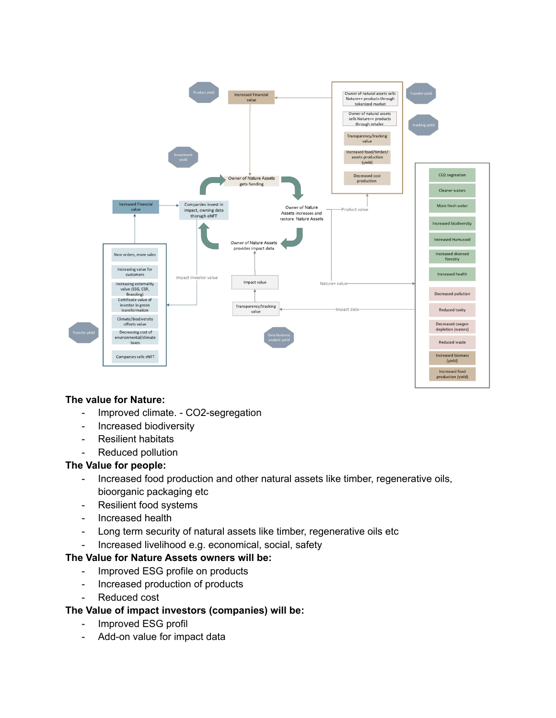

#### **The value for Nature:**

- Improved climate. CO2-segregation
- Increased biodiversity
- Resilient habitats
- Reduced pollution

#### **The Value for people:**

- Increased food production and other natural assets like timber, regenerative oils, bioorganic packaging etc
- Resilient food systems
- Increased health
- Long term security of natural assets like timber, regenerative oils etc
- Increased livelihood e.g. economical, social, safety

#### **The Value for Nature Assets owners will be:**

- Improved ESG profile on products
- Increased production of products
- Reduced cost

#### **The Value of impact investors (companies) will be:**

- Improved ESG profil
- Add-on value for impact data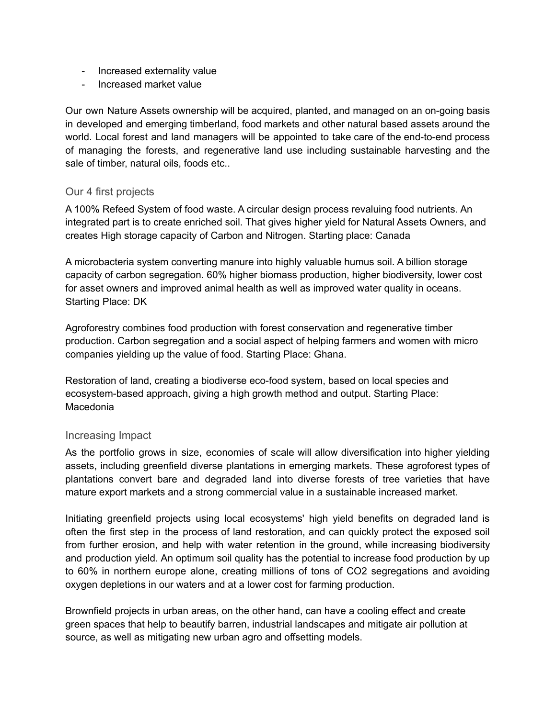- Increased externality value
- Increased market value

Our own Nature Assets ownership will be acquired, planted, and managed on an on-going basis in developed and emerging timberland, food markets and other natural based assets around the world. Local forest and land managers will be appointed to take care of the end-to-end process of managing the forests, and regenerative land use including sustainable harvesting and the sale of timber, natural oils, foods etc..

#### <span id="page-5-0"></span>Our 4 first projects

A 100% Refeed System of food waste. A circular design process revaluing food nutrients. An integrated part is to create enriched soil. That gives higher yield for Natural Assets Owners, and creates High storage capacity of Carbon and Nitrogen. Starting place: Canada

A microbacteria system converting manure into highly valuable humus soil. A billion storage capacity of carbon segregation. 60% higher biomass production, higher biodiversity, lower cost for asset owners and improved animal health as well as improved water quality in oceans. Starting Place: DK

Agroforestry combines food production with forest conservation and regenerative timber production. Carbon segregation and a social aspect of helping farmers and women with micro companies yielding up the value of food. Starting Place: Ghana.

Restoration of land, creating a biodiverse eco-food system, based on local species and ecosystem-based approach, giving a high growth method and output. Starting Place: Macedonia

#### <span id="page-5-1"></span>Increasing Impact

As the portfolio grows in size, economies of scale will allow diversification into higher yielding assets, including greenfield diverse plantations in emerging markets. These agroforest types of plantations convert bare and degraded land into diverse forests of tree varieties that have mature export markets and a strong commercial value in a sustainable increased market.

Initiating greenfield projects using local ecosystems' high yield benefits on degraded land is often the first step in the process of land restoration, and can quickly protect the exposed soil from further erosion, and help with water retention in the ground, while increasing biodiversity and production yield. An optimum soil quality has the potential to increase food production by up to 60% in northern europe alone, creating millions of tons of CO2 segregations and avoiding oxygen depletions in our waters and at a lower cost for farming production.

Brownfield projects in urban areas, on the other hand, can have a cooling effect and create green spaces that help to beautify barren, industrial landscapes and mitigate air pollution at source, as well as mitigating new urban agro and offsetting models.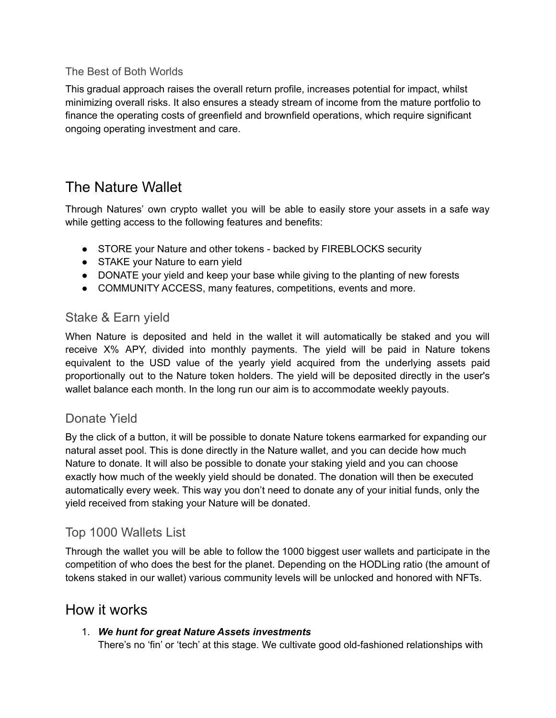#### <span id="page-6-0"></span>The Best of Both Worlds

This gradual approach raises the overall return profile, increases potential for impact, whilst minimizing overall risks. It also ensures a steady stream of income from the mature portfolio to finance the operating costs of greenfield and brownfield operations, which require significant ongoing operating investment and care.

# <span id="page-6-1"></span>The Nature Wallet

Through Natures' own crypto wallet you will be able to easily store your assets in a safe way while getting access to the following features and benefits:

- STORE your Nature and other tokens backed by FIREBLOCKS security
- STAKE your Nature to earn yield
- DONATE your yield and keep your base while giving to the planting of new forests
- COMMUNITY ACCESS, many features, competitions, events and more.

# <span id="page-6-2"></span>Stake & Earn yield

When Nature is deposited and held in the wallet it will automatically be staked and you will receive X% APY, divided into monthly payments. The yield will be paid in Nature tokens equivalent to the USD value of the yearly yield acquired from the underlying assets paid proportionally out to the Nature token holders. The yield will be deposited directly in the user's wallet balance each month. In the long run our aim is to accommodate weekly payouts.

# <span id="page-6-3"></span>Donate Yield

By the click of a button, it will be possible to donate Nature tokens earmarked for expanding our natural asset pool. This is done directly in the Nature wallet, and you can decide how much Nature to donate. It will also be possible to donate your staking yield and you can choose exactly how much of the weekly yield should be donated. The donation will then be executed automatically every week. This way you don't need to donate any of your initial funds, only the yield received from staking your Nature will be donated.

# <span id="page-6-4"></span>Top 1000 Wallets List

Through the wallet you will be able to follow the 1000 biggest user wallets and participate in the competition of who does the best for the planet. Depending on the HODLing ratio (the amount of tokens staked in our wallet) various community levels will be unlocked and honored with NFTs.

# <span id="page-6-5"></span>How it works

### 1. *We hunt for great Nature Assets investments*

There's no 'fin' or 'tech' at this stage. We cultivate good old-fashioned relationships with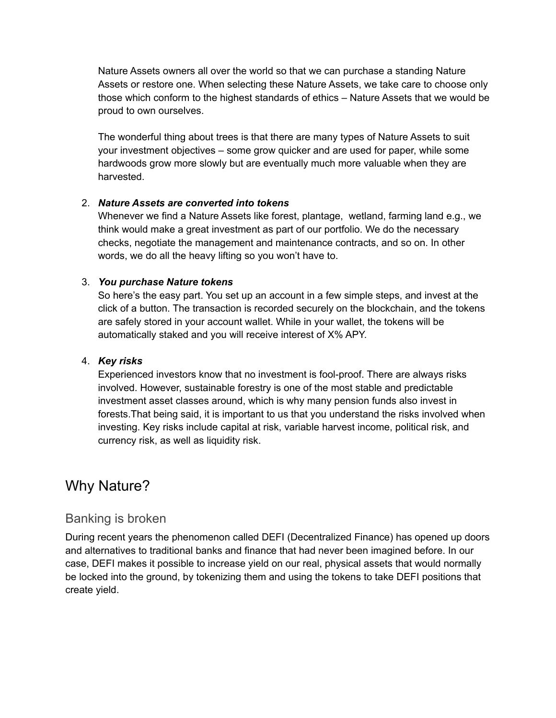Nature Assets owners all over the world so that we can purchase a standing Nature Assets or restore one. When selecting these Nature Assets, we take care to choose only those which conform to the highest standards of ethics – Nature Assets that we would be proud to own ourselves.

The wonderful thing about trees is that there are many types of Nature Assets to suit your investment objectives – some grow quicker and are used for paper, while some hardwoods grow more slowly but are eventually much more valuable when they are harvested.

#### 2. *Nature Assets are converted into tokens*

Whenever we find a Nature Assets like forest, plantage, wetland, farming land e.g., we think would make a great investment as part of our portfolio. We do the necessary checks, negotiate the management and maintenance contracts, and so on. In other words, we do all the heavy lifting so you won't have to.

#### 3. *You purchase Nature tokens*

So here's the easy part. You set up an account in a few simple steps, and invest at the click of a button. The transaction is recorded securely on the blockchain, and the tokens are safely stored in your account wallet. While in your wallet, the tokens will be automatically staked and you will receive interest of X% APY.

#### 4. *Key risks*

Experienced investors know that no investment is fool-proof. There are always risks involved. However, sustainable forestry is one of the most stable and predictable investment asset classes around, which is why many pension funds also invest in forests.That being said, it is important to us that you understand the risks involved when investing. Key risks include capital at risk, variable harvest income, political risk, and currency risk, as well as liquidity risk.

# <span id="page-7-0"></span>Why Nature?

# <span id="page-7-1"></span>Banking is broken

During recent years the phenomenon called DEFI (Decentralized Finance) has opened up doors and alternatives to traditional banks and finance that had never been imagined before. In our case, DEFI makes it possible to increase yield on our real, physical assets that would normally be locked into the ground, by tokenizing them and using the tokens to take DEFI positions that create yield.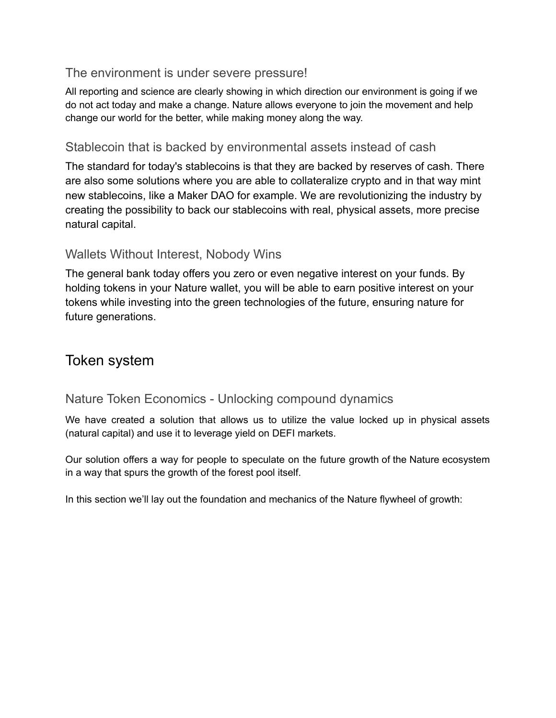# <span id="page-8-0"></span>The environment is under severe pressure!

All reporting and science are clearly showing in which direction our environment is going if we do not act today and make a change. Nature allows everyone to join the movement and help change our world for the better, while making money along the way.

### <span id="page-8-1"></span>Stablecoin that is backed by environmental assets instead of cash

The standard for today's stablecoins is that they are backed by reserves of cash. There are also some solutions where you are able to collateralize crypto and in that way mint new stablecoins, like a Maker DAO for example. We are revolutionizing the industry by creating the possibility to back our stablecoins with real, physical assets, more precise natural capital.

# <span id="page-8-2"></span>Wallets Without Interest, Nobody Wins

The general bank today offers you zero or even negative interest on your funds. By holding tokens in your Nature wallet, you will be able to earn positive interest on your tokens while investing into the green technologies of the future, ensuring nature for future generations.

# <span id="page-8-3"></span>Token system

# <span id="page-8-4"></span>Nature Token Economics - Unlocking compound dynamics

We have created a solution that allows us to utilize the value locked up in physical assets (natural capital) and use it to leverage yield on DEFI markets.

Our solution offers a way for people to speculate on the future growth of the Nature ecosystem in a way that spurs the growth of the forest pool itself.

In this section we'll lay out the foundation and mechanics of the Nature flywheel of growth: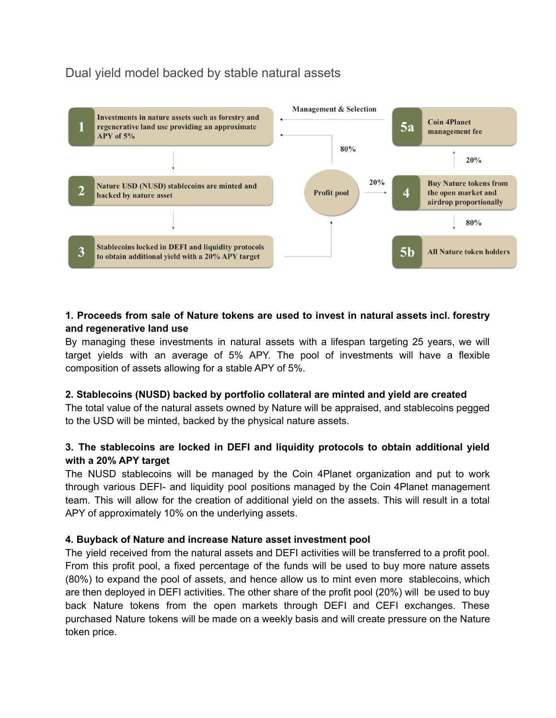# <span id="page-9-0"></span>Dual yield model backed by stable natural assets



#### **1. Proceeds from sale of Nature tokens are used to invest in natural assets incl. forestry and regenerative land use**

By managing these investments in natural assets with a lifespan targeting 25 years, we will target yields with an average of 5% APY. The pool of investments will have a flexible composition of assets allowing for a stable APY of 5%.

#### **2. Stablecoins (NUSD) backed by portfolio collateral are minted and yield are created**

The total value of the natural assets owned by Nature will be appraised, and stablecoins pegged to the USD will be minted, backed by the physical nature assets.

#### **3. The stablecoins are locked in DEFI and liquidity protocols to obtain additional yield with a 20% APY target**

The NUSD stablecoins will be managed by the Coin 4Planet organization and put to work through various DEFI- and liquidity pool positions managed by the Coin 4Planet management team. This will allow for the creation of additional yield on the assets. This will result in a total APY of approximately 10% on the underlying assets.

#### **4. Buyback of Nature and increase Nature asset investment pool**

The yield received from the natural assets and DEFI activities will be transferred to a profit pool. From this profit pool, a fixed percentage of the funds will be used to buy more nature assets (80%) to expand the pool of assets, and hence allow us to mint even more stablecoins, which are then deployed in DEFI activities. The other share of the profit pool (20%) will be used to buy back Nature tokens from the open markets through DEFI and CEFI exchanges. These purchased Nature tokens will be made on a weekly basis and will create pressure on the Nature token price.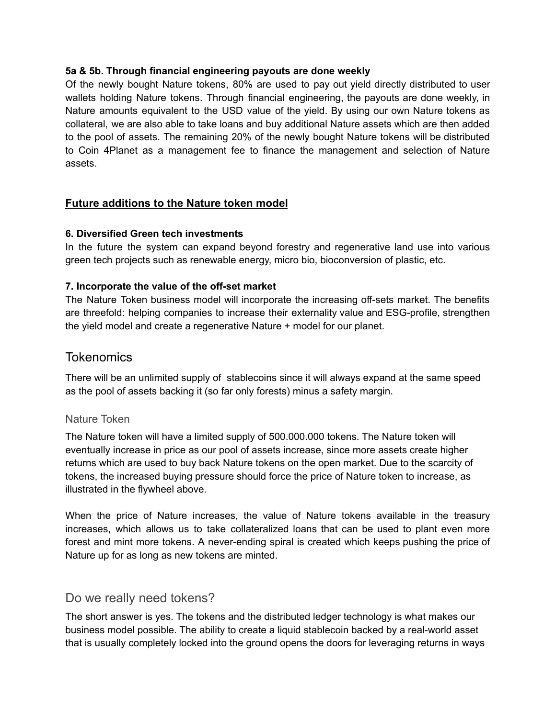#### **5a & 5b. Through financial engineering payouts are done weekly**

Of the newly bought Nature tokens, 80% are used to pay out yield directly distributed to user wallets holding Nature tokens. Through financial engineering, the payouts are done weekly, in Nature amounts equivalent to the USD value of the yield. By using our own Nature tokens as collateral, we are also able to take loans and buy additional Nature assets which are then added to the pool of assets. The remaining 20% of the newly bought Nature tokens will be distributed to Coin 4Planet as a management fee to finance the management and selection of Nature assets.

#### <span id="page-10-0"></span>**Future additions to the Nature token model**

#### **6. Diversified Green tech investments**

In the future the system can expand beyond forestry and regenerative land use into various green tech projects such as renewable energy, micro bio, bioconversion of plastic, etc.

#### **7. Incorporate the value of the off-set market**

The Nature Token business model will incorporate the increasing off-sets market. The benefits are threefold: helping companies to increase their externality value and ESG-profile, strengthen the yield model and create a regenerative Nature + model for our planet.

#### <span id="page-10-1"></span>**Tokenomics**

There will be an unlimited supply of stablecoins since it will always expand at the same speed as the pool of assets backing it (so far only forests) minus a safety margin.

#### <span id="page-10-2"></span>Nature Token

The Nature token will have a limited supply of 500.000.000 tokens. The Nature token will eventually increase in price as our pool of assets increase, since more assets create higher returns which are used to buy back Nature tokens on the open market. Due to the scarcity of tokens, the increased buying pressure should force the price of Nature token to increase, as illustrated in the flywheel above.

When the price of Nature increases, the value of Nature tokens available in the treasury increases, which allows us to take collateralized loans that can be used to plant even more forest and mint more tokens. A never-ending spiral is created which keeps pushing the price of Nature up for as long as new tokens are minted.

#### <span id="page-10-3"></span>Do we really need tokens?

The short answer is yes. The tokens and the distributed ledger technology is what makes our business model possible. The ability to create a liquid stablecoin backed by a real-world asset that is usually completely locked into the ground opens the doors for leveraging returns in ways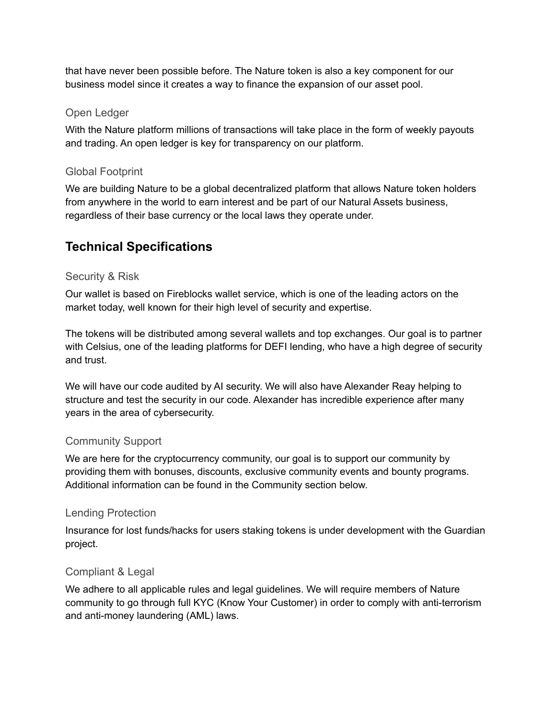that have never been possible before. The Nature token is also a key component for our business model since it creates a way to finance the expansion of our asset pool.

#### <span id="page-11-0"></span>Open Ledger

With the Nature platform millions of transactions will take place in the form of weekly payouts and trading. An open ledger is key for transparency on our platform.

#### <span id="page-11-1"></span>Global Footprint

We are building Nature to be a global decentralized platform that allows Nature token holders from anywhere in the world to earn interest and be part of our Natural Assets business, regardless of their base currency or the local laws they operate under.

# <span id="page-11-2"></span>**Technical Specifications**

#### Security & Risk

Our wallet is based on Fireblocks wallet service, which is one of the leading actors on the market today, well known for their high level of security and expertise.

The tokens will be distributed among several wallets and top exchanges. Our goal is to partner with Celsius, one of the leading platforms for DEFI lending, who have a high degree of security and trust.

We will have our code audited by AI security. We will also have Alexander Reay helping to structure and test the security in our code. Alexander has incredible experience after many years in the area of cybersecurity.

#### <span id="page-11-3"></span>Community Support

We are here for the cryptocurrency community, our goal is to support our community by providing them with bonuses, discounts, exclusive community events and bounty programs. Additional information can be found in the Community section below.

#### Lending Protection

Insurance for lost funds/hacks for users staking tokens is under development with the Guardian project.

#### Compliant & Legal

We adhere to all applicable rules and legal guidelines. We will require members of Nature community to go through full KYC (Know Your Customer) in order to comply with anti-terrorism and anti-money laundering (AML) laws.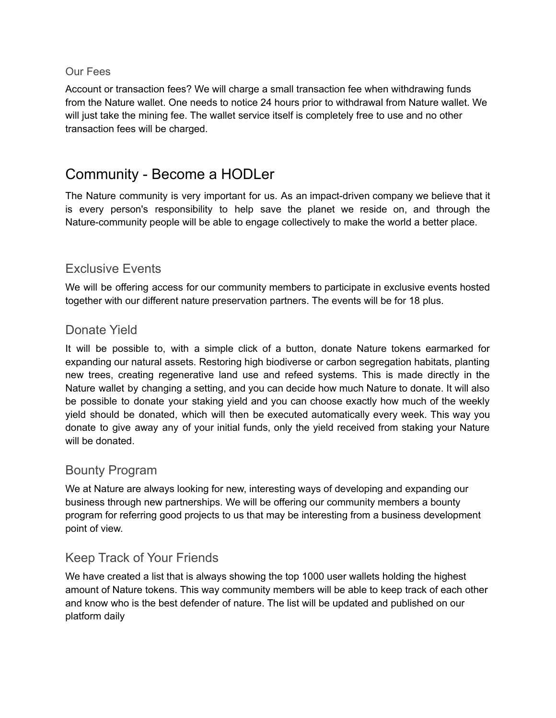#### <span id="page-12-0"></span>Our Fees

Account or transaction fees? We will charge a small transaction fee when withdrawing funds from the Nature wallet. One needs to notice 24 hours prior to withdrawal from Nature wallet. We will just take the mining fee. The wallet service itself is completely free to use and no other transaction fees will be charged.

# <span id="page-12-1"></span>Community - Become a HODLer

The Nature community is very important for us. As an impact-driven company we believe that it is every person's responsibility to help save the planet we reside on, and through the Nature-community people will be able to engage collectively to make the world a better place.

# <span id="page-12-2"></span>Exclusive Events

We will be offering access for our community members to participate in exclusive events hosted together with our different nature preservation partners. The events will be for 18 plus.

# <span id="page-12-3"></span>Donate Yield

It will be possible to, with a simple click of a button, donate Nature tokens earmarked for expanding our natural assets. Restoring high biodiverse or carbon segregation habitats, planting new trees, creating regenerative land use and refeed systems. This is made directly in the Nature wallet by changing a setting, and you can decide how much Nature to donate. It will also be possible to donate your staking yield and you can choose exactly how much of the weekly yield should be donated, which will then be executed automatically every week. This way you donate to give away any of your initial funds, only the yield received from staking your Nature will be donated.

# <span id="page-12-4"></span>Bounty Program

We at Nature are always looking for new, interesting ways of developing and expanding our business through new partnerships. We will be offering our community members a bounty program for referring good projects to us that may be interesting from a business development point of view.

# <span id="page-12-5"></span>Keep Track of Your Friends

We have created a list that is always showing the top 1000 user wallets holding the highest amount of Nature tokens. This way community members will be able to keep track of each other and know who is the best defender of nature. The list will be updated and published on our platform daily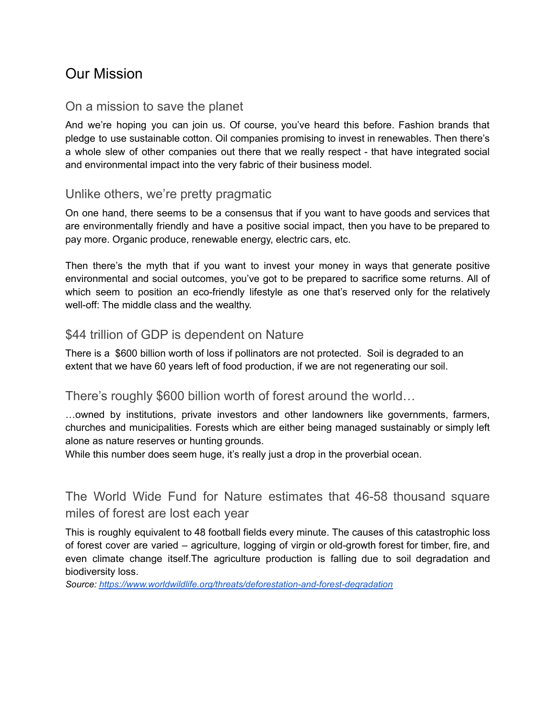# <span id="page-13-0"></span>Our Mission

### <span id="page-13-1"></span>On a mission to save the planet

And we're hoping you can join us. Of course, you've heard this before. Fashion brands that pledge to use sustainable cotton. Oil companies promising to invest in renewables. Then there's a whole slew of other companies out there that we really respect - that have integrated social and environmental impact into the very fabric of their business model.

### <span id="page-13-2"></span>Unlike others, we're pretty pragmatic

On one hand, there seems to be a consensus that if you want to have goods and services that are environmentally friendly and have a positive social impact, then you have to be prepared to pay more. Organic produce, renewable energy, electric cars, etc.

Then there's the myth that if you want to invest your money in ways that generate positive environmental and social outcomes, you've got to be prepared to sacrifice some returns. All of which seem to position an eco-friendly lifestyle as one that's reserved only for the relatively well-off: The middle class and the wealthy.

# <span id="page-13-3"></span>\$44 trillion of GDP is dependent on Nature

There is a \$600 billion worth of loss if pollinators are not protected. Soil is degraded to an extent that we have 60 years left of food production, if we are not regenerating our soil.

### <span id="page-13-4"></span>There's roughly \$600 billion worth of forest around the world…

…owned by institutions, private investors and other landowners like governments, farmers, churches and municipalities. Forests which are either being managed sustainably or simply left alone as nature reserves or hunting grounds.

While this number does seem huge, it's really just a drop in the proverbial ocean.

# <span id="page-13-5"></span>The World Wide Fund for Nature estimates that 46-58 thousand square miles of forest are lost each year

This is roughly equivalent to 48 football fields every minute. The causes of this catastrophic loss of forest cover are varied – agriculture, logging of virgin or old-growth forest for timber, fire, and even climate change itself.The agriculture production is falling due to soil degradation and biodiversity loss.

*Source: <https://www.worldwildlife.org/threats/deforestation-and-forest-degradation>*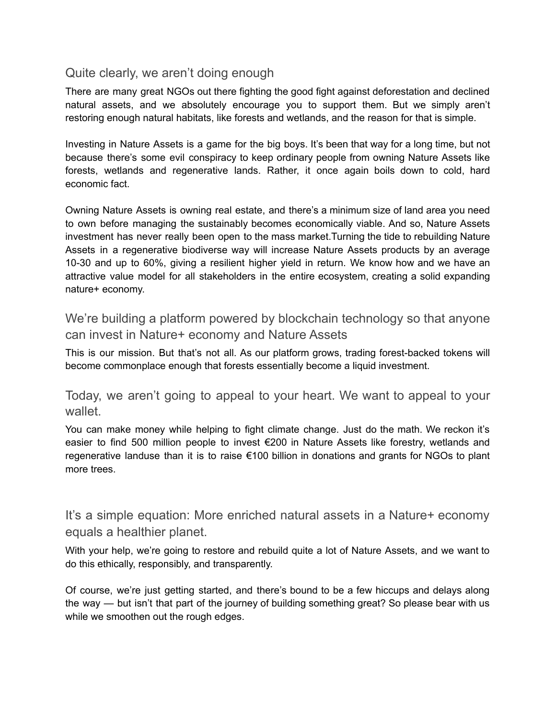# <span id="page-14-0"></span>Quite clearly, we aren't doing enough

There are many great NGOs out there fighting the good fight against deforestation and declined natural assets, and we absolutely encourage you to support them. But we simply aren't restoring enough natural habitats, like forests and wetlands, and the reason for that is simple.

Investing in Nature Assets is a game for the big boys. It's been that way for a long time, but not because there's some evil conspiracy to keep ordinary people from owning Nature Assets like forests, wetlands and regenerative lands. Rather, it once again boils down to cold, hard economic fact.

Owning Nature Assets is owning real estate, and there's a minimum size of land area you need to own before managing the sustainably becomes economically viable. And so, Nature Assets investment has never really been open to the mass market.Turning the tide to rebuilding Nature Assets in a regenerative biodiverse way will increase Nature Assets products by an average 10-30 and up to 60%, giving a resilient higher yield in return. We know how and we have an attractive value model for all stakeholders in the entire ecosystem, creating a solid expanding nature+ economy.

<span id="page-14-1"></span>We're building a platform powered by blockchain technology so that anyone can invest in Nature+ economy and Nature Assets

This is our mission. But that's not all. As our platform grows, trading forest-backed tokens will become commonplace enough that forests essentially become a liquid investment.

<span id="page-14-2"></span>Today, we aren't going to appeal to your heart. We want to appeal to your wallet.

You can make money while helping to fight climate change. Just do the math. We reckon it's easier to find 500 million people to invest €200 in Nature Assets like forestry, wetlands and regenerative landuse than it is to raise €100 billion in donations and grants for NGOs to plant more trees.

<span id="page-14-3"></span>It's a simple equation: More enriched natural assets in a Nature+ economy equals a healthier planet.

With your help, we're going to restore and rebuild quite a lot of Nature Assets, and we want to do this ethically, responsibly, and transparently.

Of course, we're just getting started, and there's bound to be a few hiccups and delays along the way — but isn't that part of the journey of building something great? So please bear with us while we smoothen out the rough edges.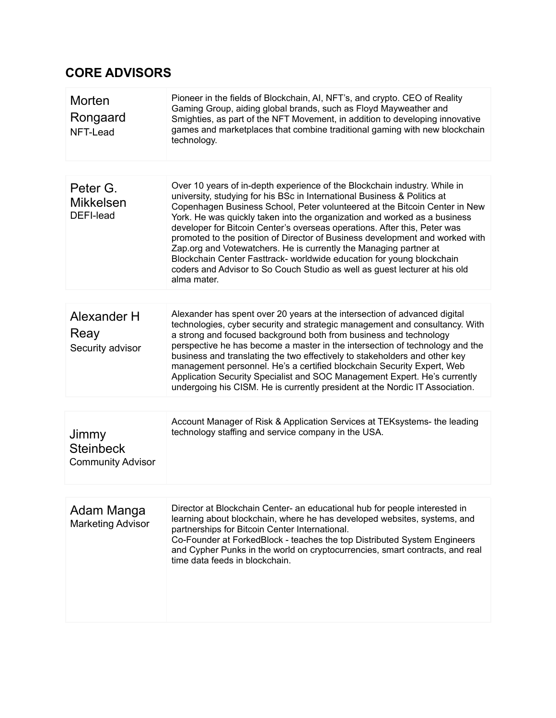# <span id="page-16-0"></span>**CORE ADVISORS**

| Morten<br>Rongaard<br>NFT-Lead                        | Pioneer in the fields of Blockchain, AI, NFT's, and crypto. CEO of Reality<br>Gaming Group, aiding global brands, such as Floyd Mayweather and<br>Smighties, as part of the NFT Movement, in addition to developing innovative<br>games and marketplaces that combine traditional gaming with new blockchain<br>technology.                                                                                                                                                                                                                                                                                                                                                                                              |
|-------------------------------------------------------|--------------------------------------------------------------------------------------------------------------------------------------------------------------------------------------------------------------------------------------------------------------------------------------------------------------------------------------------------------------------------------------------------------------------------------------------------------------------------------------------------------------------------------------------------------------------------------------------------------------------------------------------------------------------------------------------------------------------------|
|                                                       |                                                                                                                                                                                                                                                                                                                                                                                                                                                                                                                                                                                                                                                                                                                          |
| Peter G.<br><b>Mikkelsen</b><br>DEFI-lead             | Over 10 years of in-depth experience of the Blockchain industry. While in<br>university, studying for his BSc in International Business & Politics at<br>Copenhagen Business School, Peter volunteered at the Bitcoin Center in New<br>York. He was quickly taken into the organization and worked as a business<br>developer for Bitcoin Center's overseas operations. After this, Peter was<br>promoted to the position of Director of Business development and worked with<br>Zap.org and Votewatchers. He is currently the Managing partner at<br>Blockchain Center Fasttrack- worldwide education for young blockchain<br>coders and Advisor to So Couch Studio as well as guest lecturer at his old<br>alma mater. |
|                                                       |                                                                                                                                                                                                                                                                                                                                                                                                                                                                                                                                                                                                                                                                                                                          |
| Alexander H<br>Reay<br>Security advisor               | Alexander has spent over 20 years at the intersection of advanced digital<br>technologies, cyber security and strategic management and consultancy. With<br>a strong and focused background both from business and technology<br>perspective he has become a master in the intersection of technology and the<br>business and translating the two effectively to stakeholders and other key<br>management personnel. He's a certified blockchain Security Expert, Web<br>Application Security Specialist and SOC Management Expert. He's currently<br>undergoing his CISM. He is currently president at the Nordic IT Association.                                                                                       |
|                                                       |                                                                                                                                                                                                                                                                                                                                                                                                                                                                                                                                                                                                                                                                                                                          |
| Jimmy<br><b>Steinbeck</b><br><b>Community Advisor</b> | Account Manager of Risk & Application Services at TEKsystems- the leading<br>technology staffing and service company in the USA.                                                                                                                                                                                                                                                                                                                                                                                                                                                                                                                                                                                         |
|                                                       |                                                                                                                                                                                                                                                                                                                                                                                                                                                                                                                                                                                                                                                                                                                          |
| Adam Manga<br><b>Marketing Advisor</b>                | Director at Blockchain Center- an educational hub for people interested in<br>learning about blockchain, where he has developed websites, systems, and<br>partnerships for Bitcoin Center International.<br>Co-Founder at ForkedBlock - teaches the top Distributed System Engineers<br>and Cypher Punks in the world on cryptocurrencies, smart contracts, and real<br>time data feeds in blockchain.                                                                                                                                                                                                                                                                                                                   |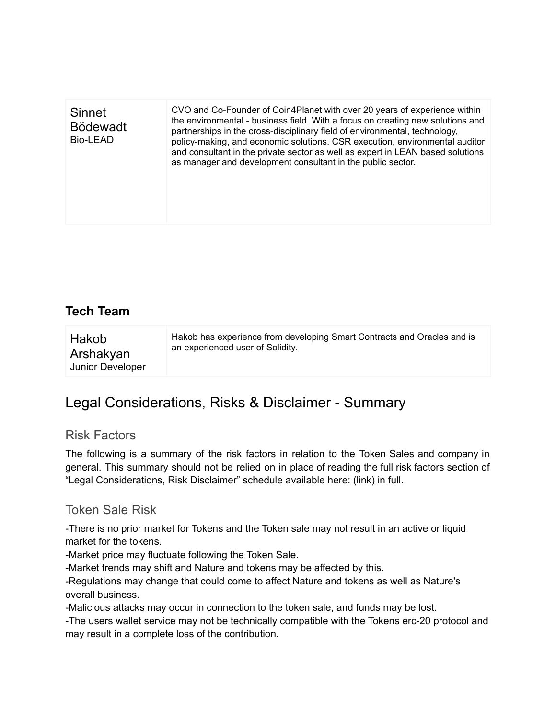<span id="page-17-0"></span>

| Sinnet<br><b>Bödewadt</b><br>Bio-LEAD | CVO and Co-Founder of Coin4Planet with over 20 years of experience within<br>the environmental - business field. With a focus on creating new solutions and<br>partnerships in the cross-disciplinary field of environmental, technology,<br>policy-making, and economic solutions. CSR execution, environmental auditor<br>and consultant in the private sector as well as expert in LEAN based solutions<br>as manager and development consultant in the public sector. |
|---------------------------------------|---------------------------------------------------------------------------------------------------------------------------------------------------------------------------------------------------------------------------------------------------------------------------------------------------------------------------------------------------------------------------------------------------------------------------------------------------------------------------|
|                                       |                                                                                                                                                                                                                                                                                                                                                                                                                                                                           |

# **Tech Team**

# <span id="page-17-1"></span>Legal Considerations, Risks & Disclaimer - Summary

### <span id="page-17-2"></span>Risk Factors

The following is a summary of the risk factors in relation to the Token Sales and company in general. This summary should not be relied on in place of reading the full risk factors section of "Legal Considerations, Risk Disclaimer" schedule available here: (link) in full.

### <span id="page-17-3"></span>Token Sale Risk

-There is no prior market for Tokens and the Token sale may not result in an active or liquid market for the tokens.

-Market price may fluctuate following the Token Sale.

-Market trends may shift and Nature and tokens may be affected by this.

-Regulations may change that could come to affect Nature and tokens as well as Nature's overall business.

-Malicious attacks may occur in connection to the token sale, and funds may be lost.

-The users wallet service may not be technically compatible with the Tokens erc-20 protocol and may result in a complete loss of the contribution.